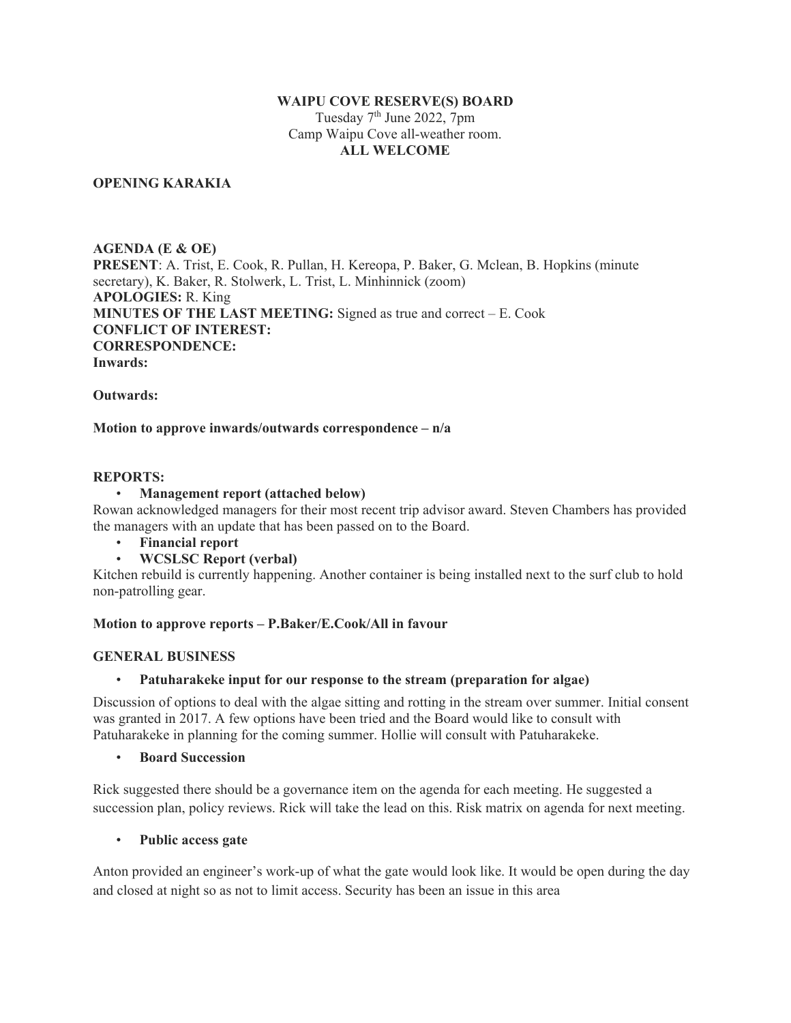#### **WAIPU COVE RESERVE(S) BOARD**

Tuesday  $7<sup>th</sup>$  June 2022,  $7<sup>pm</sup>$ Camp Waipu Cove all-weather room. **ALL WELCOME**

#### **OPENING KARAKIA**

**AGENDA (E & OE) PRESENT**: A. Trist, E. Cook, R. Pullan, H. Kereopa, P. Baker, G. Mclean, B. Hopkins (minute secretary), K. Baker, R. Stolwerk, L. Trist, L. Minhinnick (zoom) **APOLOGIES:** R. King **MINUTES OF THE LAST MEETING:** Signed as true and correct – E. Cook **CONFLICT OF INTEREST: CORRESPONDENCE: Inwards:**

**Outwards:**

#### **Motion to approve inwards/outwards correspondence – n/a**

## **REPORTS:**

#### • **Management report (attached below)**

Rowan acknowledged managers for their most recent trip advisor award. Steven Chambers has provided the managers with an update that has been passed on to the Board.

- **Financial report**
- **WCSLSC Report (verbal)**

Kitchen rebuild is currently happening. Another container is being installed next to the surf club to hold non-patrolling gear.

#### **Motion to approve reports – P.Baker/E.Cook/All in favour**

#### **GENERAL BUSINESS**

#### • **Patuharakeke input for our response to the stream (preparation for algae)**

Discussion of options to deal with the algae sitting and rotting in the stream over summer. Initial consent was granted in 2017. A few options have been tried and the Board would like to consult with Patuharakeke in planning for the coming summer. Hollie will consult with Patuharakeke.

#### • **Board Succession**

Rick suggested there should be a governance item on the agenda for each meeting. He suggested a succession plan, policy reviews. Rick will take the lead on this. Risk matrix on agenda for next meeting.

#### • **Public access gate**

Anton provided an engineer's work-up of what the gate would look like. It would be open during the day and closed at night so as not to limit access. Security has been an issue in this area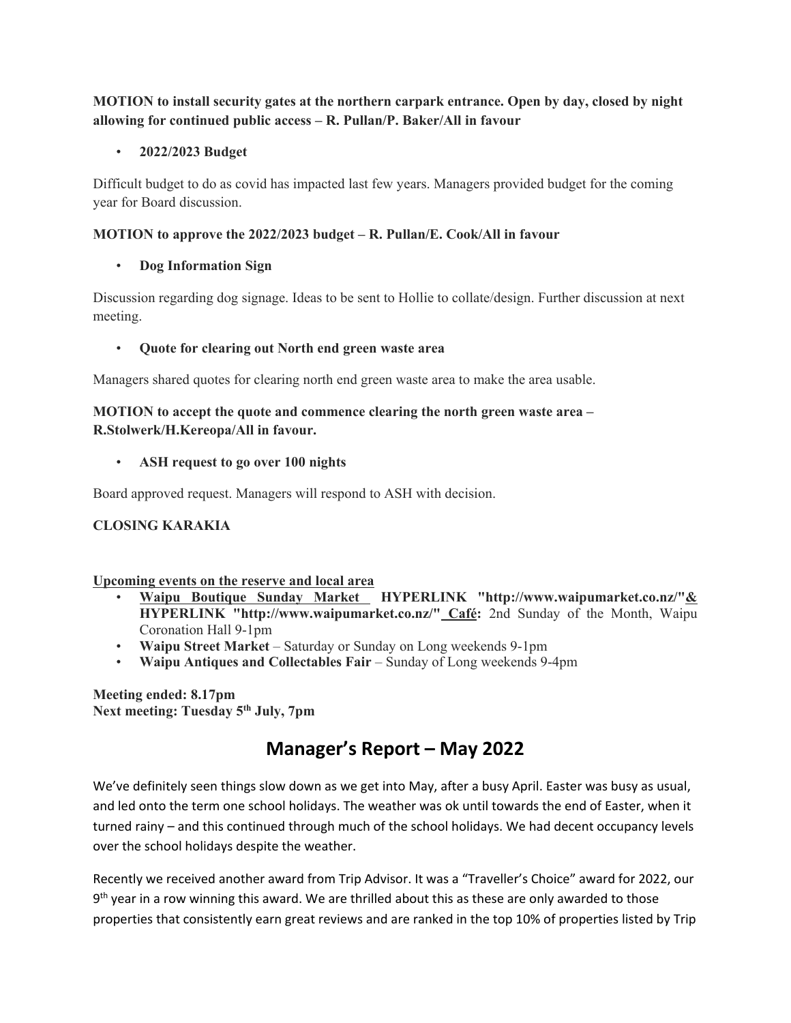## **MOTION to install security gates at the northern carpark entrance. Open by day, closed by night allowing for continued public access – R. Pullan/P. Baker/All in favour**

## • **2022/2023 Budget**

Difficult budget to do as covid has impacted last few years. Managers provided budget for the coming year for Board discussion.

## **MOTION to approve the 2022/2023 budget – R. Pullan/E. Cook/All in favour**

## • **Dog Information Sign**

Discussion regarding dog signage. Ideas to be sent to Hollie to collate/design. Further discussion at next meeting.

## • **Quote for clearing out North end green waste area**

Managers shared quotes for clearing north end green waste area to make the area usable.

## **MOTION to accept the quote and commence clearing the north green waste area – R.Stolwerk/H.Kereopa/All in favour.**

## • **ASH request to go over 100 nights**

Board approved request. Managers will respond to ASH with decision.

## **CLOSING KARAKIA**

## **Upcoming events on the reserve and local area**

- **[Waipu Boutique Sunday Market HYPERLINK "http://www.waipumarket.co.nz/"&](http://www.waipumarket.co.nz/)  [HYPERLINK "http://www.waipumarket.co.nz/"](http://www.waipumarket.co.nz/) Café:** 2nd Sunday of the Month, Waipu Coronation Hall 9-1pm
- **Waipu Street Market** Saturday or Sunday on Long weekends 9-1pm
- **Waipu Antiques and Collectables Fair** Sunday of Long weekends 9-4pm

**Meeting ended: 8.17pm** Next meeting: Tuesday 5<sup>th</sup> July, 7pm

## **Manager's Report – May 2022**

We've definitely seen things slow down as we get into May, after a busy April. Easter was busy as usual, and led onto the term one school holidays. The weather was ok until towards the end of Easter, when it turned rainy – and this continued through much of the school holidays. We had decent occupancy levels over the school holidays despite the weather.

Recently we received another award from Trip Advisor. It was a "Traveller's Choice" award for 2022, our  $9<sup>th</sup>$  year in a row winning this award. We are thrilled about this as these are only awarded to those properties that consistently earn great reviews and are ranked in the top 10% of properties listed by Trip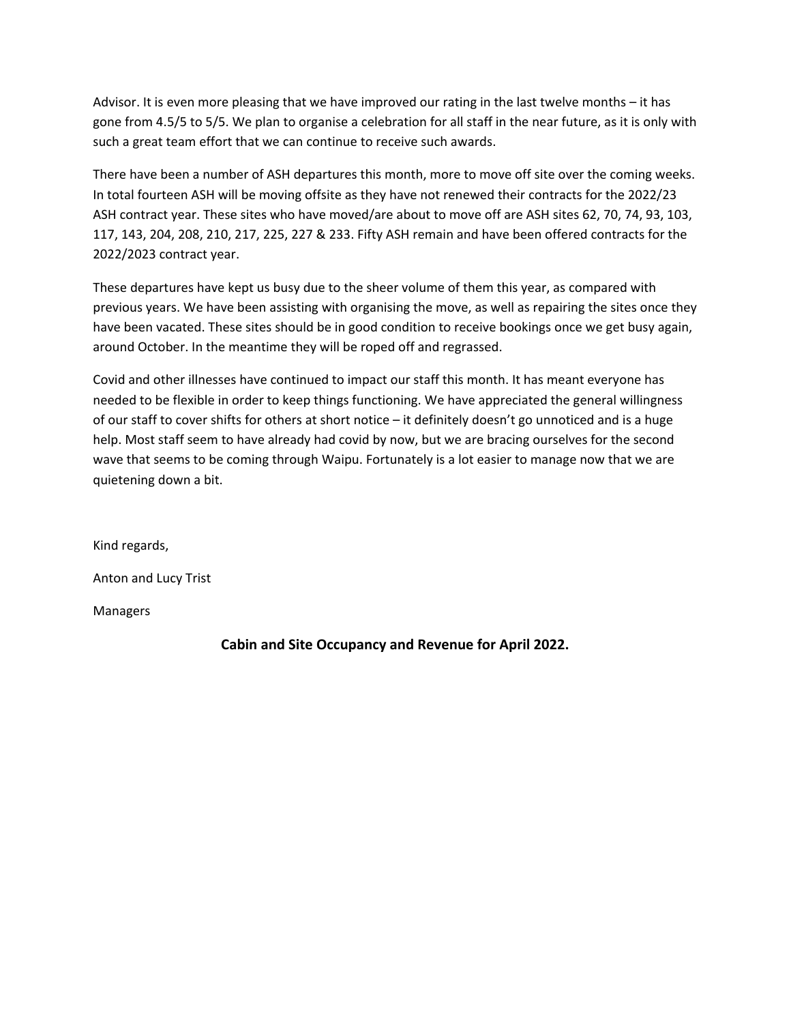Advisor. It is even more pleasing that we have improved our rating in the last twelve months – it has gone from 4.5/5 to 5/5. We plan to organise a celebration for all staff in the near future, as it is only with such a great team effort that we can continue to receive such awards.

There have been a number of ASH departures this month, more to move off site over the coming weeks. In total fourteen ASH will be moving offsite as they have not renewed their contracts for the 2022/23 ASH contract year. These sites who have moved/are about to move off are ASH sites 62, 70, 74, 93, 103, 117, 143, 204, 208, 210, 217, 225, 227 & 233. Fifty ASH remain and have been offered contracts for the 2022/2023 contract year.

These departures have kept us busy due to the sheer volume of them this year, as compared with previous years. We have been assisting with organising the move, as well as repairing the sites once they have been vacated. These sites should be in good condition to receive bookings once we get busy again, around October. In the meantime they will be roped off and regrassed.

Covid and other illnesses have continued to impact our staff this month. It has meant everyone has needed to be flexible in order to keep things functioning. We have appreciated the general willingness of our staff to cover shifts for others at short notice – it definitely doesn't go unnoticed and is a huge help. Most staff seem to have already had covid by now, but we are bracing ourselves for the second wave that seems to be coming through Waipu. Fortunately is a lot easier to manage now that we are quietening down a bit.

Kind regards, Anton and Lucy Trist

Managers

**Cabin and Site Occupancy and Revenue for April 2022.**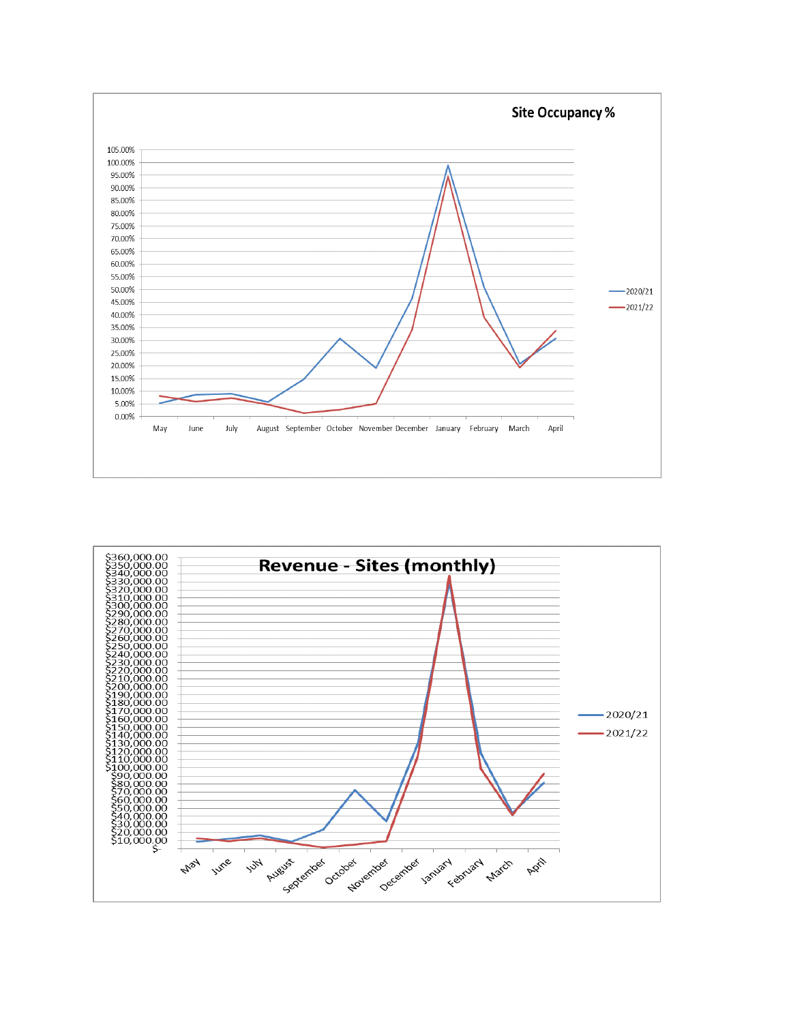